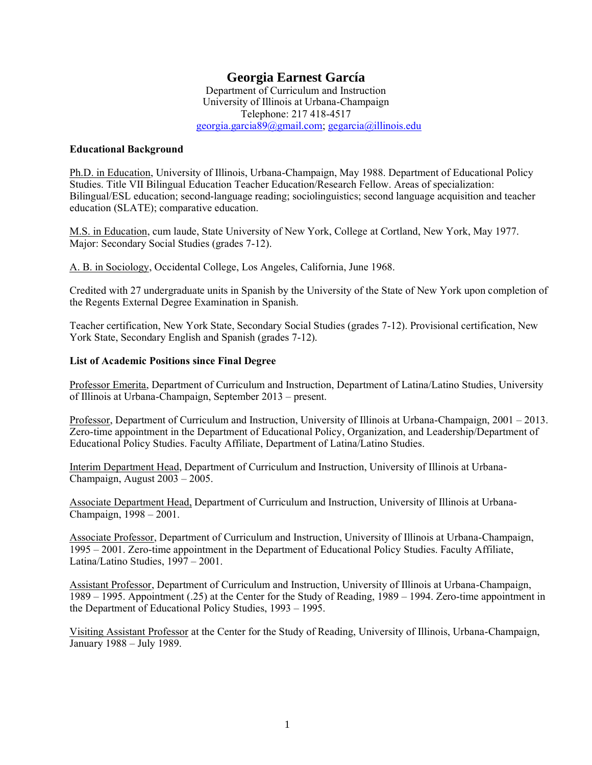# **Georgia Earnest García**

Department of Curriculum and Instruction University of Illinois at Urbana-Champaign Telephone: 217 418-4517 [georgia.garcia89@gmail.com;](mailto:georgia.garcia89@gmail.com) [gegarcia@illinois.edu](mailto:gegarcia@illinois.edu)

### **Educational Background**

Ph.D. in Education, University of Illinois, Urbana-Champaign, May 1988. Department of Educational Policy Studies. Title VII Bilingual Education Teacher Education/Research Fellow. Areas of specialization: Bilingual/ESL education; second-language reading; sociolinguistics; second language acquisition and teacher education (SLATE); comparative education.

M.S. in Education, cum laude, State University of New York, College at Cortland, New York, May 1977. Major: Secondary Social Studies (grades 7-12).

A. B. in Sociology, Occidental College, Los Angeles, California, June 1968.

Credited with 27 undergraduate units in Spanish by the University of the State of New York upon completion of the Regents External Degree Examination in Spanish.

Teacher certification, New York State, Secondary Social Studies (grades 7-12). Provisional certification, New York State, Secondary English and Spanish (grades 7-12).

# **List of Academic Positions since Final Degree**

Professor Emerita, Department of Curriculum and Instruction, Department of Latina/Latino Studies, University of Illinois at Urbana-Champaign, September 2013 – present.

Professor, Department of Curriculum and Instruction, University of Illinois at Urbana-Champaign, 2001 – 2013. Zero-time appointment in the Department of Educational Policy, Organization, and Leadership/Department of Educational Policy Studies. Faculty Affiliate, Department of Latina/Latino Studies.

Interim Department Head, Department of Curriculum and Instruction, University of Illinois at Urbana-Champaign, August 2003 – 2005.

Associate Department Head, Department of Curriculum and Instruction, University of Illinois at Urbana-Champaign, 1998 – 2001.

Associate Professor, Department of Curriculum and Instruction, University of Illinois at Urbana-Champaign, 1995 – 2001. Zero-time appointment in the Department of Educational Policy Studies. Faculty Affiliate, Latina/Latino Studies, 1997 – 2001.

Assistant Professor, Department of Curriculum and Instruction, University of Illinois at Urbana-Champaign, 1989 – 1995. Appointment (.25) at the Center for the Study of Reading, 1989 – 1994. Zero-time appointment in the Department of Educational Policy Studies, 1993 – 1995.

Visiting Assistant Professor at the Center for the Study of Reading, University of Illinois, Urbana-Champaign, January 1988 – July 1989.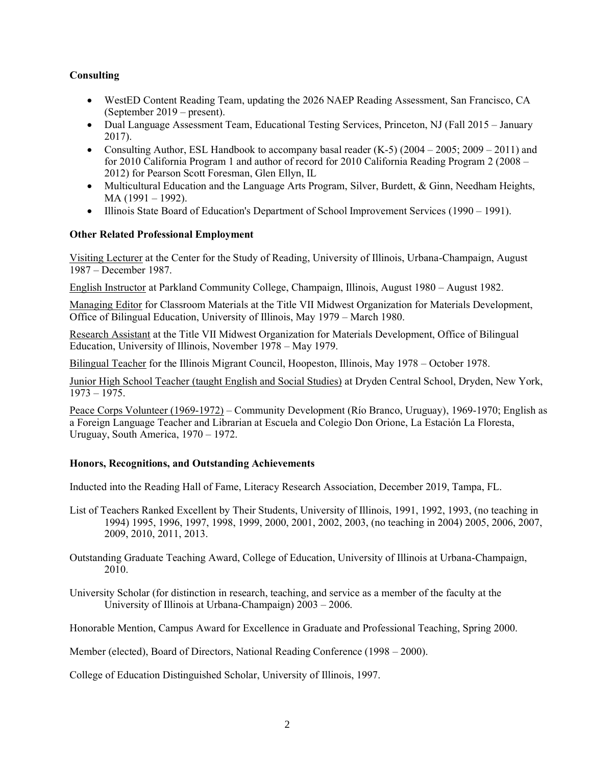# **Consulting**

- WestED Content Reading Team, updating the 2026 NAEP Reading Assessment, San Francisco, CA (September 2019 – present).
- Dual Language Assessment Team, Educational Testing Services, Princeton, NJ (Fall 2015 January 2017).
- Consulting Author, ESL Handbook to accompany basal reader  $(K-5)$  (2004 2005; 2009 2011) and for 2010 California Program 1 and author of record for 2010 California Reading Program 2 (2008 – 2012) for Pearson Scott Foresman, Glen Ellyn, IL
- Multicultural Education and the Language Arts Program, Silver, Burdett, & Ginn, Needham Heights, MA (1991 – 1992).
- Illinois State Board of Education's Department of School Improvement Services (1990 1991).

# **Other Related Professional Employment**

Visiting Lecturer at the Center for the Study of Reading, University of Illinois, Urbana-Champaign, August 1987 – December 1987.

English Instructor at Parkland Community College, Champaign, Illinois, August 1980 – August 1982.

Managing Editor for Classroom Materials at the Title VII Midwest Organization for Materials Development, Office of Bilingual Education, University of Illinois, May 1979 – March 1980.

Research Assistant at the Title VII Midwest Organization for Materials Development, Office of Bilingual Education, University of Illinois, November 1978 – May 1979.

Bilingual Teacher for the Illinois Migrant Council, Hoopeston, Illinois, May 1978 – October 1978.

Junior High School Teacher (taught English and Social Studies) at Dryden Central School, Dryden, New York, 1973 – 1975.

Peace Corps Volunteer (1969-1972) – Community Development (Río Branco, Uruguay), 1969-1970; English as a Foreign Language Teacher and Librarian at Escuela and Colegio Don Orione, La Estación La Floresta, Uruguay, South America, 1970 – 1972.

# **Honors, Recognitions, and Outstanding Achievements**

Inducted into the Reading Hall of Fame, Literacy Research Association, December 2019, Tampa, FL.

- List of Teachers Ranked Excellent by Their Students, University of Illinois, 1991, 1992, 1993, (no teaching in 1994) 1995, 1996, 1997, 1998, 1999, 2000, 2001, 2002, 2003, (no teaching in 2004) 2005, 2006, 2007, 2009, 2010, 2011, 2013.
- Outstanding Graduate Teaching Award, College of Education, University of Illinois at Urbana-Champaign, 2010.

University Scholar (for distinction in research, teaching, and service as a member of the faculty at the University of Illinois at Urbana-Champaign) 2003 – 2006.

Honorable Mention, Campus Award for Excellence in Graduate and Professional Teaching, Spring 2000.

Member (elected), Board of Directors, National Reading Conference (1998 – 2000).

College of Education Distinguished Scholar, University of Illinois, 1997.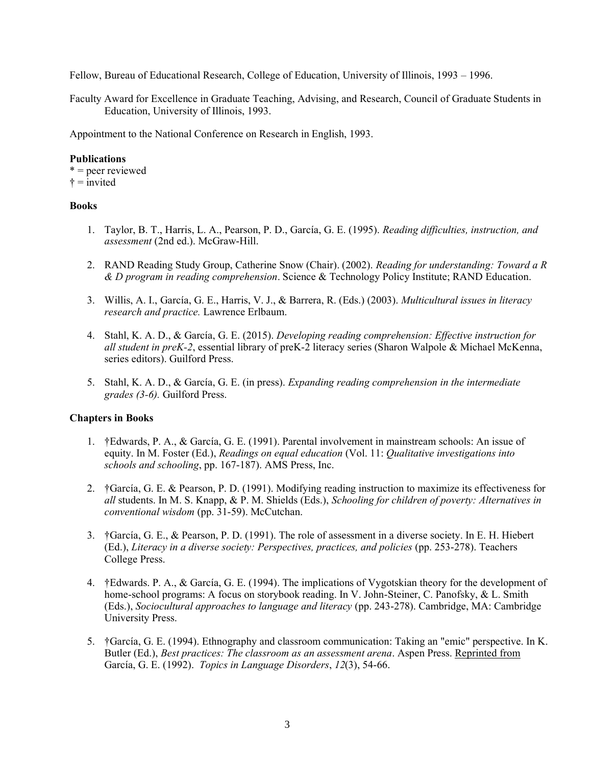Fellow, Bureau of Educational Research, College of Education, University of Illinois, 1993 – 1996.

Faculty Award for Excellence in Graduate Teaching, Advising, and Research, Council of Graduate Students in Education, University of Illinois, 1993.

Appointment to the National Conference on Research in English, 1993.

# **Publications**

 $* =$  peer reviewed  $\dagger$  = invited

# **Books**

- 1. Taylor, B. T., Harris, L. A., Pearson, P. D., García, G. E. (1995). *Reading difficulties, instruction, and assessment* (2nd ed.). McGraw-Hill.
- 2. RAND Reading Study Group, Catherine Snow (Chair). (2002). *Reading for understanding: Toward a R & D program in reading comprehension*. Science & Technology Policy Institute; RAND Education.
- 3. Willis, A. I., García, G. E., Harris, V. J., & Barrera, R. (Eds.) (2003). *Multicultural issues in literacy research and practice.* Lawrence Erlbaum.
- 4. Stahl, K. A. D., & García, G. E. (2015). *Developing reading comprehension: Effective instruction for all student in preK-2*, essential library of preK-2 literacy series (Sharon Walpole & Michael McKenna, series editors). Guilford Press.
- 5. Stahl, K. A. D., & García, G. E. (in press). *Expanding reading comprehension in the intermediate grades (3-6).* Guilford Press.

# **Chapters in Books**

- 1. †Edwards, P. A., & García, G. E. (1991). Parental involvement in mainstream schools: An issue of equity. In M. Foster (Ed.), *Readings on equal education* (Vol. 11: *Qualitative investigations into schools and schooling*, pp. 167-187). AMS Press, Inc.
- 2. †García, G. E. & Pearson, P. D. (1991). Modifying reading instruction to maximize its effectiveness for *all* students. In M. S. Knapp, & P. M. Shields (Eds.), *Schooling for children of poverty: Alternatives in conventional wisdom* (pp. 31-59). McCutchan.
- 3. †García, G. E., & Pearson, P. D. (1991). The role of assessment in a diverse society. In E. H. Hiebert (Ed.), *Literacy in a diverse society: Perspectives, practices, and policies* (pp. 253-278). Teachers College Press.
- 4. †Edwards. P. A., & García, G. E. (1994). The implications of Vygotskian theory for the development of home-school programs: A focus on storybook reading. In V. John-Steiner, C. Panofsky, & L. Smith (Eds.), *Sociocultural approaches to language and literacy* (pp. 243-278). Cambridge, MA: Cambridge University Press.
- 5. †García, G. E. (1994). Ethnography and classroom communication: Taking an "emic" perspective. In K. Butler (Ed.), *Best practices: The classroom as an assessment arena*. Aspen Press. Reprinted from García, G. E. (1992). *Topics in Language Disorders*, *12*(3), 54-66.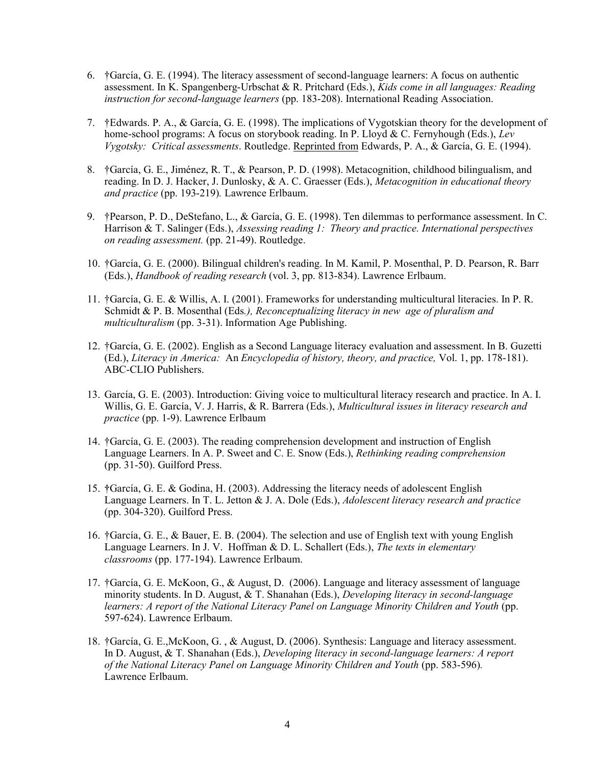- 6. †García, G. E. (1994). The literacy assessment of second-language learners: A focus on authentic assessment. In K. Spangenberg-Urbschat & R. Pritchard (Eds.), *Kids come in all languages: Reading instruction for second-language learners* (pp. 183-208). International Reading Association.
- 7. †Edwards. P. A., & García, G. E. (1998). The implications of Vygotskian theory for the development of home-school programs: A focus on storybook reading. In P. Lloyd & C. Fernyhough (Eds.), *Lev Vygotsky: Critical assessments*. Routledge. Reprinted from Edwards, P. A., & García, G. E. (1994).
- 8. †García, G. E., Jiménez, R. T., & Pearson, P. D. (1998). Metacognition, childhood bilingualism, and reading. In D. J. Hacker, J. Dunlosky, & A. C. Graesser (Eds.), *Metacognition in educational theory and practice* (pp. 193-219)*.* Lawrence Erlbaum.
- 9. †Pearson, P. D., DeStefano, L., & García, G. E. (1998). Ten dilemmas to performance assessment. In C. Harrison & T. Salinger (Eds.), *Assessing reading 1: Theory and practice. International perspectives on reading assessment.* (pp. 21-49). Routledge.
- 10. †García, G. E. (2000). Bilingual children's reading. In M. Kamil, P. Mosenthal, P. D. Pearson, R. Barr (Eds.), *Handbook of reading research* (vol. 3, pp. 813-834). Lawrence Erlbaum.
- 11. †García, G. E. & Willis, A. I. (2001). Frameworks for understanding multicultural literacies. In P. R. Schmidt & P. B. Mosenthal (Eds*.), Reconceptualizing literacy in new age of pluralism and multiculturalism* (pp. 3-31). Information Age Publishing.
- 12. †García, G. E. (2002). English as a Second Language literacy evaluation and assessment. In B. Guzetti (Ed.), *Literacy in America:* An *Encyclopedia of history, theory, and practice,* Vol. 1, pp. 178-181). ABC-CLIO Publishers.
- 13. García, G. E. (2003). Introduction: Giving voice to multicultural literacy research and practice. In A. I. Willis, G. E. García, V. J. Harris, & R. Barrera (Eds.), *Multicultural issues in literacy research and practice* (pp. 1-9). Lawrence Erlbaum
- 14. †García, G. E. (2003). The reading comprehension development and instruction of English Language Learners. In A. P. Sweet and C. E. Snow (Eds.), *Rethinking reading comprehension* (pp. 31-50). Guilford Press.
- 15. **†**García, G. E. & Godina, H. (2003). Addressing the literacy needs of adolescent English Language Learners. In T. L. Jetton & J. A. Dole (Eds.), *Adolescent literacy research and practice*  (pp. 304-320). Guilford Press.
- 16. †García, G. E., & Bauer, E. B. (2004). The selection and use of English text with young English Language Learners. In J. V. Hoffman & D. L. Schallert (Eds.), *The texts in elementary classrooms* (pp. 177-194). Lawrence Erlbaum.
- 17. †García, G. E. McKoon, G., & August, D. (2006). Language and literacy assessment of language minority students. In D. August, & T. Shanahan (Eds.), *Developing literacy in second-language* learners: A report of the National Literacy Panel on Language Minority Children and Youth (pp. 597-624). Lawrence Erlbaum.
- 18. †García, G. E.,McKoon, G. , & August, D. (2006). Synthesis: Language and literacy assessment. In D. August, & T. Shanahan (Eds.), *Developing literacy in second-language learners: A report of the National Literacy Panel on Language Minority Children and Youth* (pp. 583-596)*.* Lawrence Erlbaum.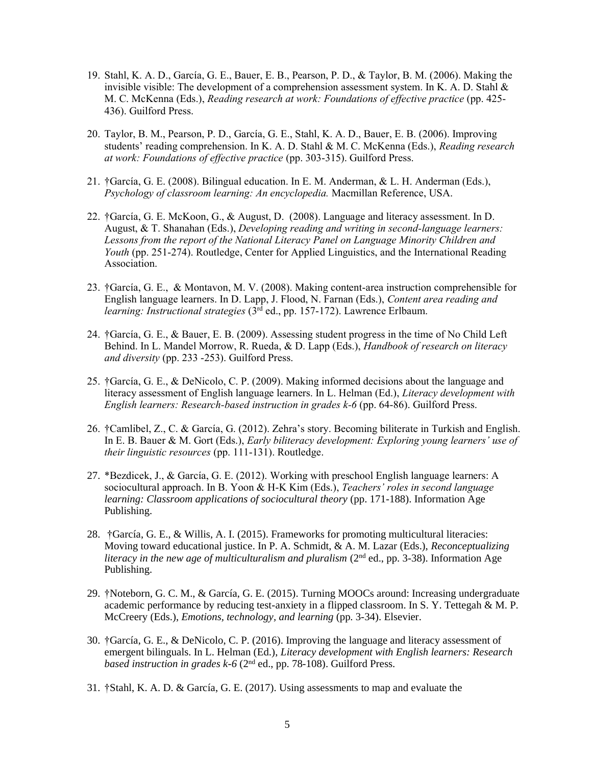- 19. Stahl, K. A. D., García, G. E., Bauer, E. B., Pearson, P. D., & Taylor, B. M. (2006). Making the invisible visible: The development of a comprehension assessment system. In K. A. D. Stahl  $\&$ M. C. McKenna (Eds.), *Reading research at work: Foundations of effective practice* (pp. 425- 436). Guilford Press.
- 20. Taylor, B. M., Pearson, P. D., García, G. E., Stahl, K. A. D., Bauer, E. B. (2006). Improving students' reading comprehension. In K. A. D. Stahl & M. C. McKenna (Eds.), *Reading research at work: Foundations of effective practice* (pp. 303-315). Guilford Press.
- 21. †García, G. E. (2008). Bilingual education. In E. M. Anderman, & L. H. Anderman (Eds.), *Psychology of classroom learning: An encyclopedia.* Macmillan Reference, USA.
- 22. †García, G. E. McKoon, G., & August, D. (2008). Language and literacy assessment. In D. August, & T. Shanahan (Eds.), *Developing reading and writing in second-language learners: Lessons from the report of the National Literacy Panel on Language Minority Children and Youth* (pp. 251-274). Routledge, Center for Applied Linguistics, and the International Reading Association.
- 23. †García, G. E., & Montavon, M. V. (2008). Making content-area instruction comprehensible for English language learners. In D. Lapp, J. Flood, N. Farnan (Eds.), *Content area reading and learning: Instructional strategies* (3rd ed., pp. 157-172). Lawrence Erlbaum.
- 24. †García, G. E., & Bauer, E. B. (2009). Assessing student progress in the time of No Child Left Behind. In L. Mandel Morrow, R. Rueda, & D. Lapp (Eds.), *Handbook of research on literacy and diversity* (pp. 233 -253). Guilford Press.
- 25. †García, G. E., & DeNicolo, C. P. (2009). Making informed decisions about the language and literacy assessment of English language learners. In L. Helman (Ed.), *Literacy development with English learners: Research-based instruction in grades k-6* (pp. 64-86). Guilford Press.
- 26. †Camlibel, Z., C. & García, G. (2012). Zehra's story. Becoming biliterate in Turkish and English. In E. B. Bauer & M. Gort (Eds.), *Early biliteracy development: Exploring young learners' use of their linguistic resources* (pp. 111-131). Routledge.
- 27. \*Bezdicek, J., & García, G. E. (2012). Working with preschool English language learners: A sociocultural approach. In B. Yoon & H-K Kim (Eds.), *Teachers' roles in second language learning: Classroom applications of sociocultural theory* (pp. 171-188). Information Age Publishing.
- 28. †García, G. E., & Willis, A. I. (2015). Frameworks for promoting multicultural literacies: Moving toward educational justice. In P. A. Schmidt, & A. M. Lazar (Eds.), *Reconceptualizing literacy in the new age of multiculturalism and pluralism* (2nd ed., pp. 3-38). Information Age Publishing.
- 29. †Noteborn, G. C. M., & García, G. E. (2015). Turning MOOCs around: Increasing undergraduate academic performance by reducing test-anxiety in a flipped classroom. In S. Y. Tettegah & M. P. McCreery (Eds.), *Emotions, technology, and learning* (pp. 3-34). Elsevier.
- 30. †García, G. E., & DeNicolo, C. P. (2016). Improving the language and literacy assessment of emergent bilinguals. In L. Helman (Ed.), *Literacy development with English learners: Research*  based instruction in grades k-6 (2<sup>nd</sup> ed., pp. 78-108). Guilford Press.
- 31. †Stahl, K. A. D. & García, G. E. (2017). Using assessments to map and evaluate the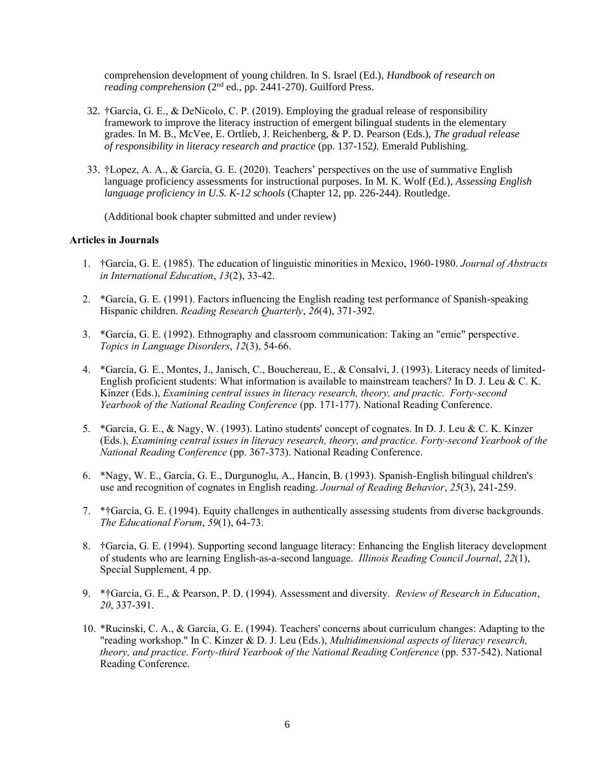comprehension development of young children. In S. Israel (Ed.), *Handbook of research on reading comprehension* (2nd ed., pp. 2441-270). Guilford Press.

- 32. †García, G. E., & DeNicolo, C. P. (2019). Employing the gradual release of responsibility framework to improve the literacy instruction of emergent bilingual students in the elementary grades. In M. B., McVee, E. Ortlieb, J. Reichenberg, & P. D. Pearson (Eds.), *The gradual release of responsibility in literacy research and practice* (pp. 137-152*).* Emerald Publishing.
- 33. †Lopez, A. A., & García, G. E. (2020). Teachers' perspectives on the use of summative English language proficiency assessments for instructional purposes. In M. K. Wolf (Ed.), *Assessing English language proficiency in U.S. K-12 schools* (Chapter 12, pp. 226-244). Routledge.

(Additional book chapter submitted and under review)

# **Articles in Journals**

- 1. †García, G. E. (1985). The education of linguistic minorities in Mexico, 1960-1980. *Journal of Abstracts in International Education*, *13*(2), 33-42.
- 2. \*García, G. E. (1991). Factors influencing the English reading test performance of Spanish-speaking Hispanic children. *Reading Research Quarterly*, *26*(4), 371-392.
- 3. \*García, G. E. (1992). Ethnography and classroom communication: Taking an "emic" perspective. *Topics in Language Disorders*, *12*(3), 54-66.
- 4. \*García, G. E., Montes, J., Janisch, C., Bouchereau, E., & Consalvi, J. (1993). Literacy needs of limited-English proficient students: What information is available to mainstream teachers? In D. J. Leu & C. K. Kinzer (Eds.), *Examining central issues in literacy research, theory, and practic. Forty-second Yearbook of the National Reading Conference* (pp. 171-177). National Reading Conference.
- 5. \*García, G. E., & Nagy, W. (1993). Latino students' concept of cognates. In D. J. Leu & C. K. Kinzer (Eds.), *Examining central issues in literacy research, theory, and practice. Forty-second Yearbook of the National Reading Conference* (pp. 367-373). National Reading Conference.
- 6. \*Nagy, W. E., García, G. E., Durgunoglu, A., Hancin, B. (1993). Spanish-English bilingual children's use and recognition of cognates in English reading. *Journal of Reading Behavior*, *25*(3), 241-259.
- 7. \*†García, G. E. (1994). Equity challenges in authentically assessing students from diverse backgrounds. *The Educational Forum*, *59*(1), 64-73.
- 8. †García, G. E. (1994). Supporting second language literacy: Enhancing the English literacy development of students who are learning English-as-a-second language. *Illinois Reading Council Journal*, *22*(1), Special Supplement, 4 pp.
- 9. \*†García, G. E., & Pearson, P. D. (1994). Assessment and diversity. *Review of Research in Education*, *20*, 337-391.
- 10. \*Rucinski, C. A., & García, G. E. (1994). Teachers' concerns about curriculum changes: Adapting to the "reading workshop." In C. Kinzer & D. J. Leu (Eds.), *Multidimensional aspects of literacy research, theory, and practice. Forty-third Yearbook of the National Reading Conference* (pp. 537-542). National Reading Conference.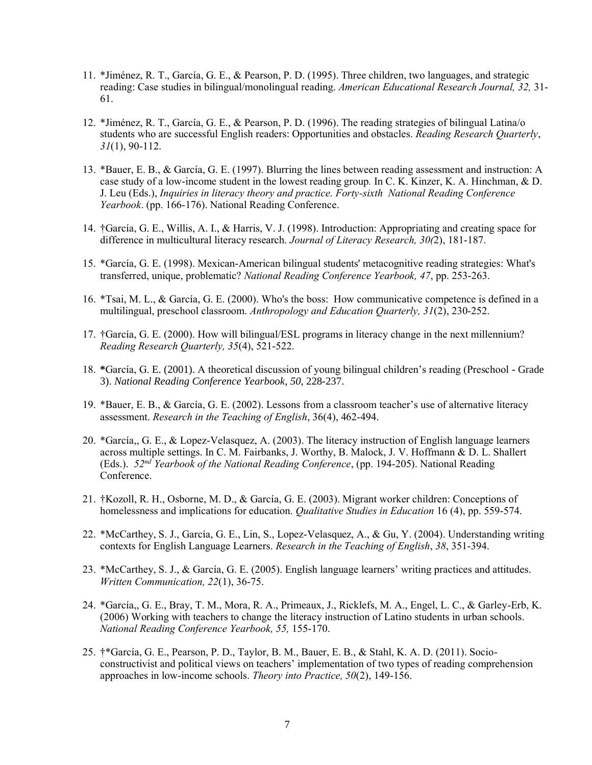- 11. \*Jiménez, R. T., García, G. E., & Pearson, P. D. (1995). Three children, two languages, and strategic reading: Case studies in bilingual/monolingual reading. *American Educational Research Journal, 32,* 31- 61.
- 12. \*Jiménez, R. T., García, G. E., & Pearson, P. D. (1996). The reading strategies of bilingual Latina/o students who are successful English readers: Opportunities and obstacles. *Reading Research Quarterly*, *31*(1), 90-112.
- 13. \*Bauer, E. B., & García, G. E. (1997). Blurring the lines between reading assessment and instruction: A case study of a low-income student in the lowest reading group*.* In C. K. Kinzer, K. A. Hinchman, & D. J. Leu (Eds.), *Inquiries in literacy theory and practice. Forty-sixth National Reading Conference Yearbook*. (pp. 166-176). National Reading Conference.
- 14. †García, G. E., Willis, A. I., & Harris, V. J. (1998). Introduction: Appropriating and creating space for difference in multicultural literacy research. *Journal of Literacy Research, 30(*2), 181-187.
- 15. \*García, G. E. (1998). Mexican-American bilingual students' metacognitive reading strategies: What's transferred, unique, problematic? *National Reading Conference Yearbook, 47*, pp. 253-263.
- 16. \*Tsai, M. L., & García, G. E. (2000). Who's the boss: How communicative competence is defined in a multilingual, preschool classroom. *Anthropology and Education Quarterly, 31*(2), 230-252.
- 17. †García, G. E. (2000). How will bilingual/ESL programs in literacy change in the next millennium? *Reading Research Quarterly, 35*(4), 521-522.
- 18. **\***García, G. E. (2001). A theoretical discussion of young bilingual children's reading (Preschool Grade 3). *National Reading Conference Yearbook*, *50*, 228-237.
- 19. \*Bauer, E. B., & García, G. E. (2002). Lessons from a classroom teacher's use of alternative literacy assessment. *Research in the Teaching of English*, 36(4), 462-494.
- 20. \*García,, G. E., & Lopez-Velasquez, A. (2003). The literacy instruction of English language learners across multiple settings. In C. M. Fairbanks, J. Worthy, B. Malock, J. V. Hoffmann & D. L. Shallert (Eds.). *52nd Yearbook of the National Reading Conference*, (pp. 194-205). National Reading Conference.
- 21. †Kozoll, R. H., Osborne, M. D., & García, G. E. (2003). Migrant worker children: Conceptions of homelessness and implications for education. *Qualitative Studies in Education* 16 (4), pp. 559-574.
- 22. \*McCarthey, S. J., García, G. E., Lin, S., Lopez-Velasquez, A., & Gu, Y. (2004). Understanding writing contexts for English Language Learners. *Research in the Teaching of English*, *38*, 351-394.
- 23. \*McCarthey, S. J., & García, G. E. (2005). English language learners' writing practices and attitudes. *Written Communication, 22*(1), 36-75.
- 24. \*García,, G. E., Bray, T. M., Mora, R. A., Primeaux, J., Ricklefs, M. A., Engel, L. C., & Garley-Erb, K. (2006) Working with teachers to change the literacy instruction of Latino students in urban schools. *National Reading Conference Yearbook, 55,* 155-170.
- 25. †\*García, G. E., Pearson, P. D., Taylor, B. M., Bauer, E. B., & Stahl, K. A. D. (2011). Socioconstructivist and political views on teachers' implementation of two types of reading comprehension approaches in low-income schools. *Theory into Practice, 50*(2), 149-156.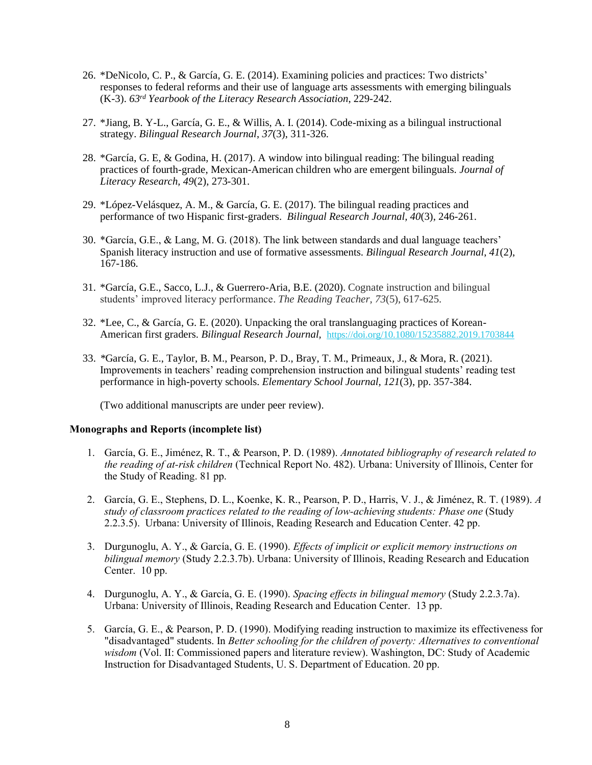- 26. \*DeNicolo, C. P., & García, G. E. (2014). Examining policies and practices: Two districts' responses to federal reforms and their use of language arts assessments with emerging bilinguals (K-3). *63rd Yearbook of the Literacy Research Association*, 229-242.
- 27. \*Jiang, B. Y-L., García, G. E., & Willis, A. I. (2014). Code-mixing as a bilingual instructional strategy. *Bilingual Research Journal*, *37*(3), 311-326.
- 28. \*García, G. E, & Godina, H. (2017). A window into bilingual reading: The bilingual reading practices of fourth-grade, Mexican-American children who are emergent bilinguals. *Journal of Literacy Research, 49*(2), 273-301.
- 29. \*López-Velásquez, A. M., & García, G. E. (2017). The bilingual reading practices and performance of two Hispanic first-graders. *Bilingual Research Journal, 40*(3), 246-261.
- 30. \*García, G.E., & Lang, M. G. (2018). The link between standards and dual language teachers' Spanish literacy instruction and use of formative assessments. *Bilingual Research Journal*, *41*(2), 167-186.
- 31. \*García, G.E., Sacco, L.J., & Guerrero-Aria, B.E. (2020). Cognate instruction and bilingual students' improved literacy performance. *The Reading Teacher, 73*(5), 617-625.
- 32. \*Lee, C., & García, G. E. (2020). Unpacking the oral translanguaging practices of Korean-American first graders. *Bilingual Research Journal,* <https://doi.org/10.1080/15235882.2019.1703844>
- 33. *\**García, G. E., Taylor, B. M., Pearson, P. D., Bray, T. M., Primeaux, J., & Mora, R. (2021). Improvements in teachers' reading comprehension instruction and bilingual students' reading test performance in high-poverty schools. *Elementary School Journal, 121*(3), pp. 357-384.

(Two additional manuscripts are under peer review).

#### **Monographs and Reports (incomplete list)**

- 1. García, G. E., Jiménez, R. T., & Pearson, P. D. (1989). *Annotated bibliography of research related to the reading of at-risk children* (Technical Report No. 482). Urbana: University of Illinois, Center for the Study of Reading. 81 pp.
- 2. García, G. E., Stephens, D. L., Koenke, K. R., Pearson, P. D., Harris, V. J., & Jiménez, R. T. (1989). *A study of classroom practices related to the reading of low-achieving students: Phase one* (Study 2.2.3.5). Urbana: University of Illinois, Reading Research and Education Center. 42 pp.
- 3. Durgunoglu, A. Y., & García, G. E. (1990). *Effects of implicit or explicit memory instructions on bilingual memory* (Study 2.2.3.7b). Urbana: University of Illinois, Reading Research and Education Center. 10 pp.
- 4. Durgunoglu, A. Y., & García, G. E. (1990). *Spacing effects in bilingual memory* (Study 2.2.3.7a). Urbana: University of Illinois, Reading Research and Education Center. 13 pp.
- 5. García, G. E., & Pearson, P. D. (1990). Modifying reading instruction to maximize its effectiveness for "disadvantaged" students. In *Better schooling for the children of poverty: Alternatives to conventional wisdom* (Vol. II: Commissioned papers and literature review). Washington, DC: Study of Academic Instruction for Disadvantaged Students, U. S. Department of Education. 20 pp.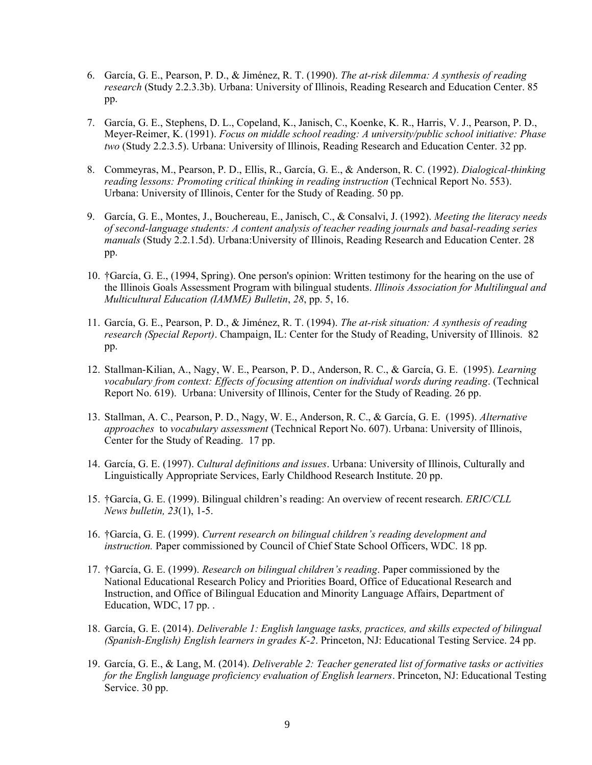- 6. García, G. E., Pearson, P. D., & Jiménez, R. T. (1990). *The at-risk dilemma: A synthesis of reading research* (Study 2.2.3.3b). Urbana: University of Illinois, Reading Research and Education Center. 85 pp.
- 7. García, G. E., Stephens, D. L., Copeland, K., Janisch, C., Koenke, K. R., Harris, V. J., Pearson, P. D., Meyer-Reimer, K. (1991). *Focus on middle school reading: A university/public school initiative: Phase two* (Study 2.2.3.5). Urbana: University of Illinois, Reading Research and Education Center. 32 pp.
- 8. Commeyras, M., Pearson, P. D., Ellis, R., García, G. E., & Anderson, R. C. (1992). *Dialogical-thinking reading lessons: Promoting critical thinking in reading instruction* (Technical Report No. 553). Urbana: University of Illinois, Center for the Study of Reading. 50 pp.
- 9. García, G. E., Montes, J., Bouchereau, E., Janisch, C., & Consalvi, J. (1992). *Meeting the literacy needs of second-language students: A content analysis of teacher reading journals and basal-reading series manuals* (Study 2.2.1.5d). Urbana:University of Illinois, Reading Research and Education Center. 28 pp.
- 10. †García, G. E., (1994, Spring). One person's opinion: Written testimony for the hearing on the use of the Illinois Goals Assessment Program with bilingual students. *Illinois Association for Multilingual and Multicultural Education (IAMME) Bulletin*, *28*, pp. 5, 16.
- 11. García, G. E., Pearson, P. D., & Jiménez, R. T. (1994). *The at-risk situation: A synthesis of reading research (Special Report)*. Champaign, IL: Center for the Study of Reading, University of Illinois. 82 pp.
- 12. Stallman-Kilian, A., Nagy, W. E., Pearson, P. D., Anderson, R. C., & García, G. E. (1995). *Learning vocabulary from context: Effects of focusing attention on individual words during reading*. (Technical Report No. 619). Urbana: University of Illinois, Center for the Study of Reading. 26 pp.
- 13. Stallman, A. C., Pearson, P. D., Nagy, W. E., Anderson, R. C., & García, G. E. (1995). *Alternative approaches* to *vocabulary assessment* (Technical Report No. 607). Urbana: University of Illinois, Center for the Study of Reading. 17 pp.
- 14. García, G. E. (1997). *Cultural definitions and issues*. Urbana: University of Illinois, Culturally and Linguistically Appropriate Services, Early Childhood Research Institute. 20 pp.
- 15. †García, G. E. (1999). Bilingual children's reading: An overview of recent research. *ERIC/CLL News bulletin, 23*(1), 1-5.
- 16. †García, G. E. (1999). *Current research on bilingual children's reading development and instruction.* Paper commissioned by Council of Chief State School Officers, WDC. 18 pp.
- 17. †García, G. E. (1999). *Research on bilingual children's reading*. Paper commissioned by the National Educational Research Policy and Priorities Board, Office of Educational Research and Instruction, and Office of Bilingual Education and Minority Language Affairs, Department of Education, WDC, 17 pp. .
- 18. García, G. E. (2014). *Deliverable 1: English language tasks, practices, and skills expected of bilingual (Spanish-English) English learners in grades K-2*. Princeton, NJ: Educational Testing Service. 24 pp.
- 19. García, G. E., & Lang, M. (2014). *Deliverable 2: Teacher generated list of formative tasks or activities for the English language proficiency evaluation of English learners*. Princeton, NJ: Educational Testing Service. 30 pp.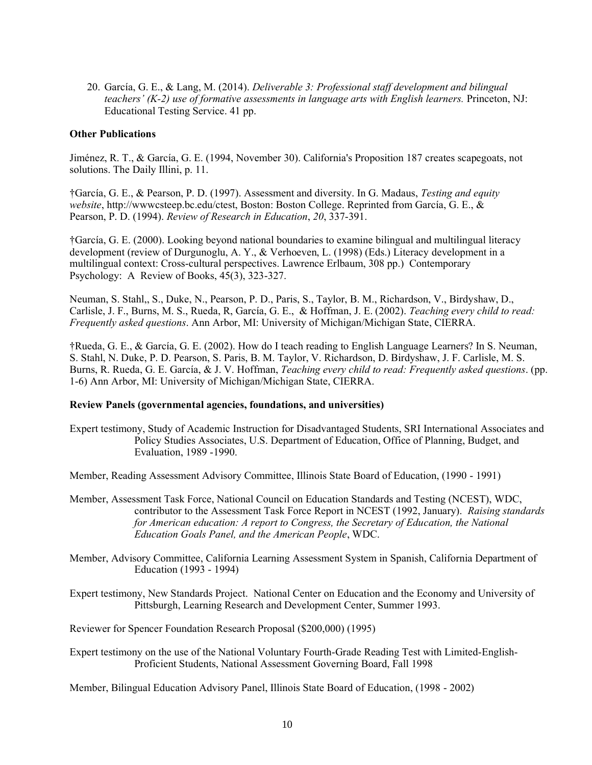20. García, G. E., & Lang, M. (2014). *Deliverable 3: Professional staff development and bilingual teachers' (K-2) use of formative assessments in language arts with English learners.* Princeton, NJ: Educational Testing Service. 41 pp.

#### **Other Publications**

Jiménez, R. T., & García, G. E. (1994, November 30). California's Proposition 187 creates scapegoats, not solutions. The Daily Illini, p. 11.

†García, G. E., & Pearson, P. D. (1997). Assessment and diversity. In G. Madaus, *Testing and equity website*, http://wwwcsteep.bc.edu/ctest, Boston: Boston College. Reprinted from García, G. E., & Pearson, P. D. (1994). *Review of Research in Education*, *20*, 337-391.

†García, G. E. (2000). Looking beyond national boundaries to examine bilingual and multilingual literacy development (review of Durgunoglu, A. Y., & Verhoeven, L. (1998) (Eds.) Literacy development in a multilingual context: Cross-cultural perspectives. Lawrence Erlbaum, 308 pp.) Contemporary Psychology: A Review of Books, 45(3), 323-327.

Neuman, S. Stahl,, S., Duke, N., Pearson, P. D., Paris, S., Taylor, B. M., Richardson, V., Birdyshaw, D., Carlisle, J. F., Burns, M. S., Rueda, R, García, G. E., & Hoffman, J. E. (2002). *Teaching every child to read: Frequently asked questions*. Ann Arbor, MI: University of Michigan/Michigan State, CIERRA.

†Rueda, G. E., & García, G. E. (2002). How do I teach reading to English Language Learners? In S. Neuman, S. Stahl, N. Duke, P. D. Pearson, S. Paris, B. M. Taylor, V. Richardson, D. Birdyshaw, J. F. Carlisle, M. S. Burns, R. Rueda, G. E. García, & J. V. Hoffman, *Teaching every child to read: Frequently asked questions*. (pp. 1-6) Ann Arbor, MI: University of Michigan/Michigan State, CIERRA.

#### **Review Panels (governmental agencies, foundations, and universities)**

Expert testimony, Study of Academic Instruction for Disadvantaged Students, SRI International Associates and Policy Studies Associates, U.S. Department of Education, Office of Planning, Budget, and Evaluation, 1989 -1990.

Member, Reading Assessment Advisory Committee, Illinois State Board of Education, (1990 - 1991)

- Member, Assessment Task Force, National Council on Education Standards and Testing (NCEST), WDC, contributor to the Assessment Task Force Report in NCEST (1992, January). *Raising standards for American education: A report to Congress, the Secretary of Education, the National Education Goals Panel, and the American People*, WDC.
- Member, Advisory Committee, California Learning Assessment System in Spanish, California Department of Education (1993 - 1994)
- Expert testimony, New Standards Project. National Center on Education and the Economy and University of Pittsburgh, Learning Research and Development Center, Summer 1993.

Reviewer for Spencer Foundation Research Proposal (\$200,000) (1995)

Expert testimony on the use of the National Voluntary Fourth-Grade Reading Test with Limited-English-Proficient Students, National Assessment Governing Board, Fall 1998

Member, Bilingual Education Advisory Panel, Illinois State Board of Education, (1998 - 2002)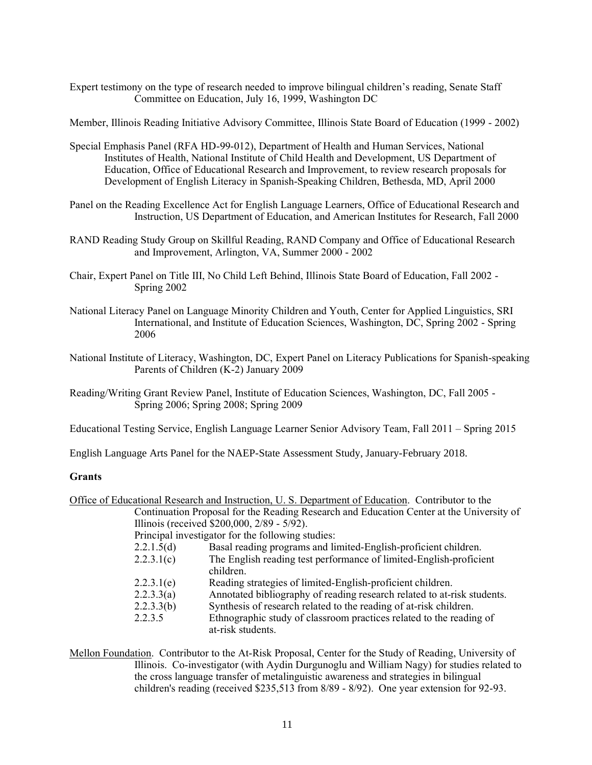Expert testimony on the type of research needed to improve bilingual children's reading, Senate Staff Committee on Education, July 16, 1999, Washington DC

Member, Illinois Reading Initiative Advisory Committee, Illinois State Board of Education (1999 - 2002)

- Special Emphasis Panel (RFA HD-99-012), Department of Health and Human Services, National Institutes of Health, National Institute of Child Health and Development, US Department of Education, Office of Educational Research and Improvement, to review research proposals for Development of English Literacy in Spanish-Speaking Children, Bethesda, MD, April 2000
- Panel on the Reading Excellence Act for English Language Learners, Office of Educational Research and Instruction, US Department of Education, and American Institutes for Research, Fall 2000
- RAND Reading Study Group on Skillful Reading, RAND Company and Office of Educational Research and Improvement, Arlington, VA, Summer 2000 - 2002
- Chair, Expert Panel on Title III, No Child Left Behind, Illinois State Board of Education, Fall 2002 Spring 2002
- National Literacy Panel on Language Minority Children and Youth, Center for Applied Linguistics, SRI International, and Institute of Education Sciences, Washington, DC, Spring 2002 - Spring 2006
- National Institute of Literacy, Washington, DC, Expert Panel on Literacy Publications for Spanish-speaking Parents of Children (K-2) January 2009
- Reading/Writing Grant Review Panel, Institute of Education Sciences, Washington, DC, Fall 2005 Spring 2006; Spring 2008; Spring 2009

Educational Testing Service, English Language Learner Senior Advisory Team, Fall 2011 – Spring 2015

English Language Arts Panel for the NAEP-State Assessment Study, January-February 2018.

#### **Grants**

- Office of Educational Research and Instruction, U. S. Department of Education. Contributor to the Continuation Proposal for the Reading Research and Education Center at the University of Illinois (received \$200,000, 2/89 - 5/92). Principal investigator for the following studies: 2.2.1.5(d) Basal reading programs and limited-English-proficient children. 2.2.3.1(c) The English reading test performance of limited-English-proficient children. 2.2.3.1(e) Reading strategies of limited-English-proficient children. 2.2.3.3(a) Annotated bibliography of reading research related to at-risk students. 2.2.3.3(b) Synthesis of research related to the reading of at-risk children.
	- 2.2.3.5 Ethnographic study of classroom practices related to the reading of at-risk students.
- Mellon Foundation. Contributor to the At-Risk Proposal, Center for the Study of Reading, University of Illinois. Co-investigator (with Aydin Durgunoglu and William Nagy) for studies related to the cross language transfer of metalinguistic awareness and strategies in bilingual children's reading (received \$235,513 from 8/89 - 8/92). One year extension for 92-93.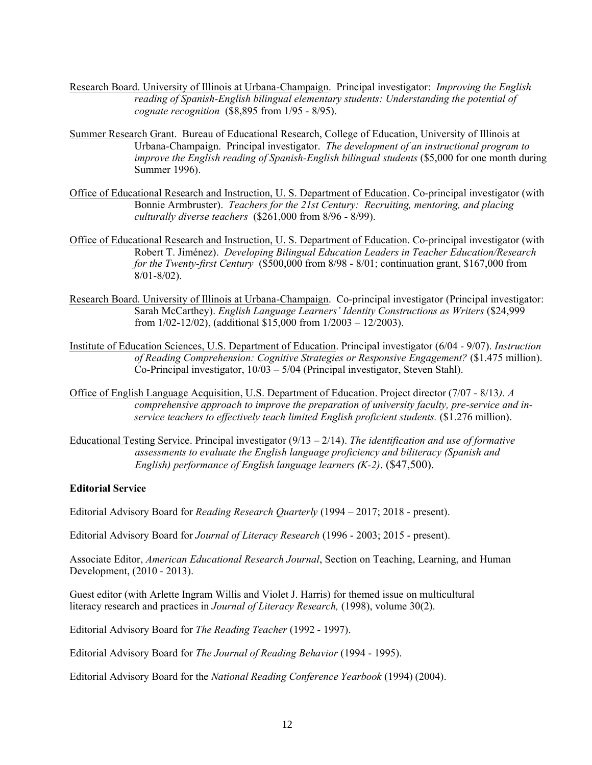- Research Board. University of Illinois at Urbana-Champaign. Principal investigator: *Improving the English reading of Spanish-English bilingual elementary students: Understanding the potential of cognate recognition* (\$8,895 from 1/95 - 8/95).
- Summer Research Grant. Bureau of Educational Research, College of Education, University of Illinois at Urbana-Champaign. Principal investigator. *The development of an instructional program to improve the English reading of Spanish-English bilingual students* (\$5,000 for one month during Summer 1996).
- Office of Educational Research and Instruction, U. S. Department of Education. Co-principal investigator (with Bonnie Armbruster). *Teachers for the 21st Century: Recruiting, mentoring, and placing culturally diverse teachers* (\$261,000 from 8/96 - 8/99).
- Office of Educational Research and Instruction, U. S. Department of Education. Co-principal investigator (with Robert T. Jiménez). *Developing Bilingual Education Leaders in Teacher Education/Research for the Twenty-first Century* (\$500,000 from 8/98 - 8/01; continuation grant, \$167,000 from 8/01-8/02).
- Research Board. University of Illinois at Urbana-Champaign. Co-principal investigator (Principal investigator: Sarah McCarthey). *English Language Learners' Identity Constructions as Writers* (\$24,999 from 1/02-12/02), (additional \$15,000 from 1/2003 – 12/2003).
- Institute of Education Sciences, U.S. Department of Education. Principal investigator (6/04 9/07). *Instruction of Reading Comprehension: Cognitive Strategies or Responsive Engagement?* (\$1.475 million). Co-Principal investigator, 10/03 – 5/04 (Principal investigator, Steven Stahl).
- Office of English Language Acquisition, U.S. Department of Education. Project director (7/07 8/13*). A comprehensive approach to improve the preparation of university faculty, pre-service and inservice teachers to effectively teach limited English proficient students.* (\$1.276 million).
- Educational Testing Service. Principal investigator (9/13 2/14). *The identification and use of formative assessments to evaluate the English language proficiency and biliteracy (Spanish and English) performance of English language learners (K-2)*. (\$47,500).

# **Editorial Service**

Editorial Advisory Board for *Reading Research Quarterly* (1994 – 2017; 2018 - present).

Editorial Advisory Board for *Journal of Literacy Research* (1996 - 2003; 2015 - present).

Associate Editor, *American Educational Research Journal*, Section on Teaching, Learning, and Human Development, (2010 - 2013).

Guest editor (with Arlette Ingram Willis and Violet J. Harris) for themed issue on multicultural literacy research and practices in *Journal of Literacy Research,* (1998), volume 30(2).

Editorial Advisory Board for *The Reading Teacher* (1992 - 1997).

Editorial Advisory Board for *The Journal of Reading Behavior* (1994 - 1995).

Editorial Advisory Board for the *National Reading Conference Yearbook* (1994) (2004).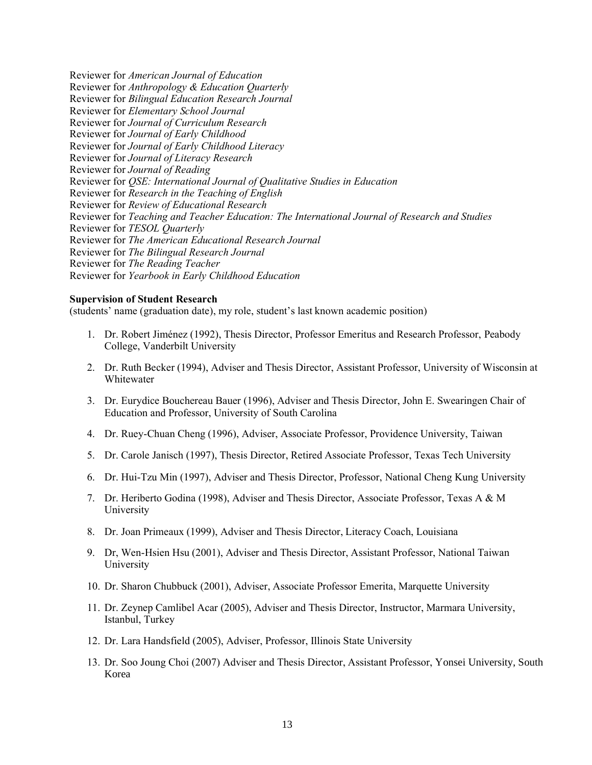Reviewer for *American Journal of Education* Reviewer for *Anthropology & Education Quarterly* Reviewer for *Bilingual Education Research Journal* Reviewer for *Elementary School Journal* Reviewer for *Journal of Curriculum Research* Reviewer for *Journal of Early Childhood* Reviewer for *Journal of Early Childhood Literacy* Reviewer for *Journal of Literacy Research* Reviewer for *Journal of Reading* Reviewer for *QSE: International Journal of Qualitative Studies in Education* Reviewer for *Research in the Teaching of English* Reviewer for *Review of Educational Research* Reviewer for *Teaching and Teacher Education: The International Journal of Research and Studies* Reviewer for *TESOL Quarterly* Reviewer for *The American Educational Research Journal* Reviewer for *The Bilingual Research Journal* Reviewer for *The Reading Teacher* Reviewer for *Yearbook in Early Childhood Education*

#### **Supervision of Student Research**

(students' name (graduation date), my role, student's last known academic position)

- 1. Dr. Robert Jiménez (1992), Thesis Director, Professor Emeritus and Research Professor, Peabody College, Vanderbilt University
- 2. Dr. Ruth Becker (1994), Adviser and Thesis Director, Assistant Professor, University of Wisconsin at Whitewater
- 3. Dr. Eurydice Bouchereau Bauer (1996), Adviser and Thesis Director, John E. Swearingen Chair of Education and Professor, University of South Carolina
- 4. Dr. Ruey-Chuan Cheng (1996), Adviser, Associate Professor, Providence University, Taiwan
- 5. Dr. Carole Janisch (1997), Thesis Director, Retired Associate Professor, Texas Tech University
- 6. Dr. Hui-Tzu Min (1997), Adviser and Thesis Director, Professor, National Cheng Kung University
- 7. Dr. Heriberto Godina (1998), Adviser and Thesis Director, Associate Professor, Texas A & M University
- 8. Dr. Joan Primeaux (1999), Adviser and Thesis Director, Literacy Coach, Louisiana
- 9. Dr, Wen-Hsien Hsu (2001), Adviser and Thesis Director, Assistant Professor, National Taiwan University
- 10. Dr. Sharon Chubbuck (2001), Adviser, Associate Professor Emerita, Marquette University
- 11. Dr. Zeynep Camlibel Acar (2005), Adviser and Thesis Director, Instructor, Marmara University, Istanbul, Turkey
- 12. Dr. Lara Handsfield (2005), Adviser, Professor, Illinois State University
- 13. Dr. Soo Joung Choi (2007) Adviser and Thesis Director, Assistant Professor, Yonsei University, South Korea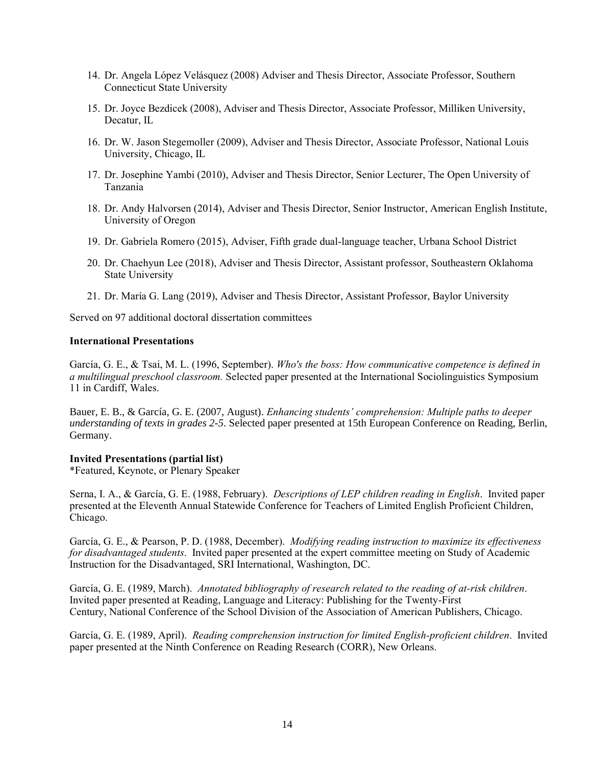- 14. Dr. Angela López Velásquez (2008) Adviser and Thesis Director, Associate Professor, Southern Connecticut State University
- 15. Dr. Joyce Bezdicek (2008), Adviser and Thesis Director, Associate Professor, Milliken University, Decatur, IL
- 16. Dr. W. Jason Stegemoller (2009), Adviser and Thesis Director, Associate Professor, National Louis University, Chicago, IL
- 17. Dr. Josephine Yambi (2010), Adviser and Thesis Director, Senior Lecturer, The Open University of Tanzania
- 18. Dr. Andy Halvorsen (2014), Adviser and Thesis Director, Senior Instructor, American English Institute, University of Oregon
- 19. Dr. Gabriela Romero (2015), Adviser, Fifth grade dual-language teacher, Urbana School District
- 20. Dr. Chaehyun Lee (2018), Adviser and Thesis Director, Assistant professor, Southeastern Oklahoma State University
- 21. Dr. María G. Lang (2019), Adviser and Thesis Director, Assistant Professor, Baylor University

Served on 97 additional doctoral dissertation committees

# **International Presentations**

García, G. E., & Tsai, M. L. (1996, September). *Who's the boss: How communicative competence is defined in a multilingual preschool classroom.* Selected paper presented at the International Sociolinguistics Symposium 11 in Cardiff, Wales.

Bauer, E. B., & García, G. E. (2007, August). *Enhancing students' comprehension: Multiple paths to deeper understanding of texts in grades 2-5*. Selected paper presented at 15th European Conference on Reading, Berlin, Germany.

# **Invited Presentations (partial list)**

\*Featured, Keynote, or Plenary Speaker

Serna, I. A., & García, G. E. (1988, February). *Descriptions of LEP children reading in English*. Invited paper presented at the Eleventh Annual Statewide Conference for Teachers of Limited English Proficient Children, Chicago.

García, G. E., & Pearson, P. D. (1988, December). *Modifying reading instruction to maximize its effectiveness for disadvantaged students*. Invited paper presented at the expert committee meeting on Study of Academic Instruction for the Disadvantaged, SRI International, Washington, DC.

García, G. E. (1989, March). *Annotated bibliography of research related to the reading of at-risk children*. Invited paper presented at Reading, Language and Literacy: Publishing for the Twenty-First Century, National Conference of the School Division of the Association of American Publishers, Chicago.

García, G. E. (1989, April). *Reading comprehension instruction for limited English-proficient children*. Invited paper presented at the Ninth Conference on Reading Research (CORR), New Orleans.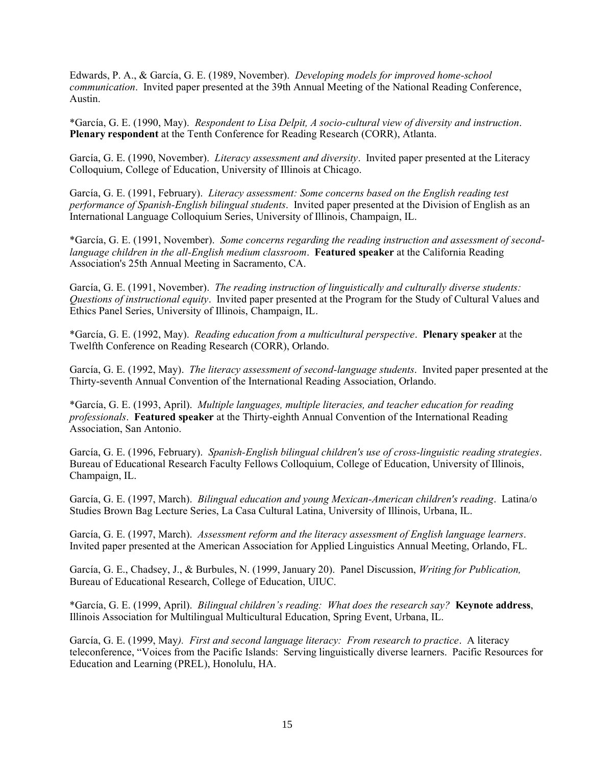Edwards, P. A., & García, G. E. (1989, November). *Developing models for improved home-school communication*. Invited paper presented at the 39th Annual Meeting of the National Reading Conference, Austin.

\*García, G. E. (1990, May). *Respondent to Lisa Delpit, A socio-cultural view of diversity and instruction*. **Plenary respondent** at the Tenth Conference for Reading Research (CORR), Atlanta.

García, G. E. (1990, November). *Literacy assessment and diversity*. Invited paper presented at the Literacy Colloquium, College of Education, University of Illinois at Chicago.

García, G. E. (1991, February). *Literacy assessment: Some concerns based on the English reading test performance of Spanish-English bilingual students*. Invited paper presented at the Division of English as an International Language Colloquium Series, University of Illinois, Champaign, IL.

\*García, G. E. (1991, November). *Some concerns regarding the reading instruction and assessment of secondlanguage children in the all-English medium classroom*. **Featured speaker** at the California Reading Association's 25th Annual Meeting in Sacramento, CA.

García, G. E. (1991, November). *The reading instruction of linguistically and culturally diverse students: Questions of instructional equity*. Invited paper presented at the Program for the Study of Cultural Values and Ethics Panel Series, University of Illinois, Champaign, IL.

\*García, G. E. (1992, May). *Reading education from a multicultural perspective*. **Plenary speaker** at the Twelfth Conference on Reading Research (CORR), Orlando.

García, G. E. (1992, May). *The literacy assessment of second-language students*. Invited paper presented at the Thirty-seventh Annual Convention of the International Reading Association, Orlando.

\*García, G. E. (1993, April). *Multiple languages, multiple literacies, and teacher education for reading professionals*. **Featured speaker** at the Thirty-eighth Annual Convention of the International Reading Association, San Antonio.

García, G. E. (1996, February). *Spanish-English bilingual children's use of cross-linguistic reading strategies*. Bureau of Educational Research Faculty Fellows Colloquium, College of Education, University of Illinois, Champaign, IL.

García, G. E. (1997, March). *Bilingual education and young Mexican-American children's reading*. Latina/o Studies Brown Bag Lecture Series, La Casa Cultural Latina, University of Illinois, Urbana, IL.

García, G. E. (1997, March). *Assessment reform and the literacy assessment of English language learners*. Invited paper presented at the American Association for Applied Linguistics Annual Meeting, Orlando, FL.

García, G. E., Chadsey, J., & Burbules, N. (1999, January 20). Panel Discussion, *Writing for Publication,*  Bureau of Educational Research, College of Education, UIUC.

\*García, G. E. (1999, April). *Bilingual children's reading: What does the research say?* **Keynote address**, Illinois Association for Multilingual Multicultural Education, Spring Event, Urbana, IL.

García, G. E. (1999, May*). First and second language literacy: From research to practice*. A literacy teleconference, "Voices from the Pacific Islands: Serving linguistically diverse learners. Pacific Resources for Education and Learning (PREL), Honolulu, HA.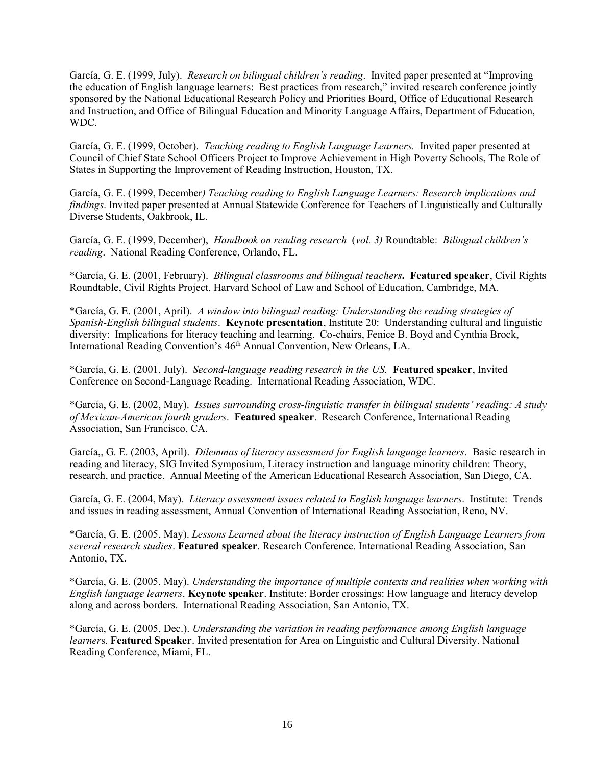García, G. E. (1999, July). *Research on bilingual children's reading*. Invited paper presented at "Improving the education of English language learners: Best practices from research," invited research conference jointly sponsored by the National Educational Research Policy and Priorities Board, Office of Educational Research and Instruction, and Office of Bilingual Education and Minority Language Affairs, Department of Education, WDC.

García, G. E. (1999, October). *Teaching reading to English Language Learners.* Invited paper presented at Council of Chief State School Officers Project to Improve Achievement in High Poverty Schools, The Role of States in Supporting the Improvement of Reading Instruction, Houston, TX.

García, G. E. (1999, December*) Teaching reading to English Language Learners: Research implications and findings*. Invited paper presented at Annual Statewide Conference for Teachers of Linguistically and Culturally Diverse Students, Oakbrook, IL.

García, G. E. (1999, December), *Handbook on reading research* (*vol. 3)* Roundtable: *Bilingual children's reading*. National Reading Conference, Orlando, FL.

\*García, G. E. (2001, February). *Bilingual classrooms and bilingual teachers***. Featured speaker**, Civil Rights Roundtable, Civil Rights Project, Harvard School of Law and School of Education, Cambridge, MA.

\*García, G. E. (2001, April). *A window into bilingual reading: Understanding the reading strategies of Spanish-English bilingual students*. **Keynote presentation**, Institute 20: Understanding cultural and linguistic diversity: Implications for literacy teaching and learning. Co-chairs, Fenice B. Boyd and Cynthia Brock, International Reading Convention's 46th Annual Convention, New Orleans, LA.

\*García, G. E. (2001, July). *Second-language reading research in the US.* **Featured speaker**, Invited Conference on Second-Language Reading. International Reading Association, WDC.

\*García, G. E. (2002, May). *Issues surrounding cross-linguistic transfer in bilingual students' reading: A study of Mexican-American fourth graders*. **Featured speaker**. Research Conference, International Reading Association, San Francisco, CA.

García,, G. E. (2003, April). *Dilemmas of literacy assessment for English language learners*. Basic research in reading and literacy, SIG Invited Symposium, Literacy instruction and language minority children: Theory, research, and practice. Annual Meeting of the American Educational Research Association, San Diego, CA.

García, G. E. (2004, May). *Literacy assessment issues related to English language learners*. Institute: Trends and issues in reading assessment, Annual Convention of International Reading Association, Reno, NV.

\*García, G. E. (2005, May). *Lessons Learned about the literacy instruction of English Language Learners from several research studies*. **Featured speaker**. Research Conference. International Reading Association, San Antonio, TX.

\*García, G. E. (2005, May). *Understanding the importance of multiple contexts and realities when working with English language learners*. **Keynote speaker**. Institute: Border crossings: How language and literacy develop along and across borders. International Reading Association, San Antonio, TX.

\*García, G. E. (2005, Dec.). *Understanding the variation in reading performance among English language learner*s. **Featured Speaker**. Invited presentation for Area on Linguistic and Cultural Diversity. National Reading Conference, Miami, FL.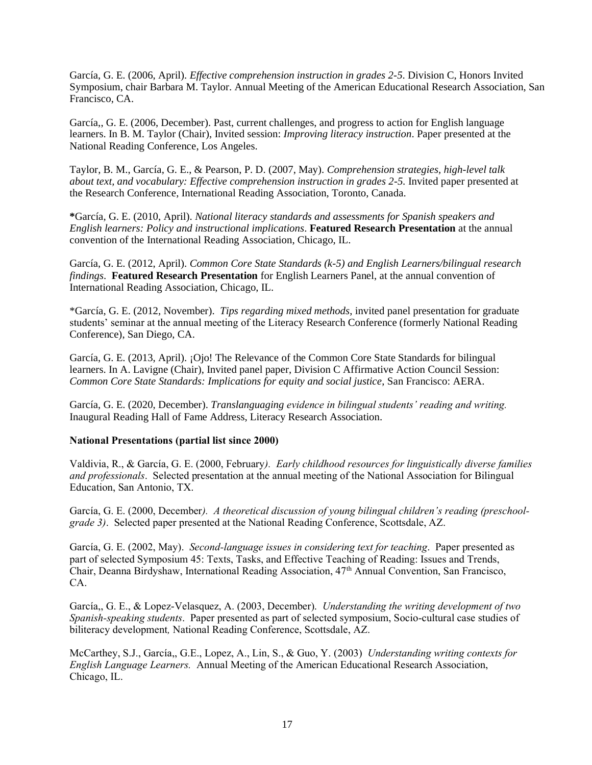García, G. E. (2006, April). *Effective comprehension instruction in grades 2-5*. Division C, Honors Invited Symposium, chair Barbara M. Taylor. Annual Meeting of the American Educational Research Association, San Francisco, CA.

García,, G. E. (2006, December). Past, current challenges, and progress to action for English language learners. In B. M. Taylor (Chair), Invited session: *Improving literacy instruction*. Paper presented at the National Reading Conference, Los Angeles.

Taylor, B. M., García, G. E., & Pearson, P. D. (2007, May). *Comprehension strategies, high-level talk about text, and vocabulary: Effective comprehension instruction in grades 2-5.* Invited paper presented at the Research Conference, International Reading Association, Toronto, Canada.

**\***García, G. E. (2010, April). *National literacy standards and assessments for Spanish speakers and English learners: Policy and instructional implications*. **Featured Research Presentation** at the annual convention of the International Reading Association, Chicago, IL.

García, G. E. (2012, April). *Common Core State Standards (k-5) and English Learners/bilingual research findings*. **Featured Research Presentation** for English Learners Panel, at the annual convention of International Reading Association, Chicago, IL.

\*García, G. E. (2012, November). *Tips regarding mixed methods*, invited panel presentation for graduate students' seminar at the annual meeting of the Literacy Research Conference (formerly National Reading Conference), San Diego, CA.

García, G. E. (2013, April). ¡Ojo! The Relevance of the Common Core State Standards for bilingual learners. In A. Lavigne (Chair), Invited panel paper, Division C Affirmative Action Council Session: *Common Core State Standards: Implications for equity and social justice*, San Francisco: AERA.

García, G. E. (2020, December). *Translanguaging evidence in bilingual students' reading and writing.* Inaugural Reading Hall of Fame Address, Literacy Research Association.

#### **National Presentations (partial list since 2000)**

Valdivia, R., & García, G. E. (2000, February*). Early childhood resources for linguistically diverse families and professionals*. Selected presentation at the annual meeting of the National Association for Bilingual Education, San Antonio, TX.

García, G. E. (2000, December*). A theoretical discussion of young bilingual children's reading (preschoolgrade 3)*. Selected paper presented at the National Reading Conference, Scottsdale, AZ.

García, G. E. (2002, May). *Second-language issues in considering text for teaching*. Paper presented as part of selected Symposium 45: Texts, Tasks, and Effective Teaching of Reading: Issues and Trends, Chair, Deanna Birdyshaw, International Reading Association, 47th Annual Convention, San Francisco, CA.

García,, G. E., & Lopez-Velasquez, A. (2003, December). *Understanding the writing development of two Spanish-speaking students*. Paper presented as part of selected symposium, Socio-cultural case studies of biliteracy development*,* National Reading Conference, Scottsdale, AZ.

McCarthey, S.J., García,, G.E., Lopez, A., Lin, S., & Guo, Y. (2003) *Understanding writing contexts for English Language Learners.* Annual Meeting of the American Educational Research Association, Chicago, IL.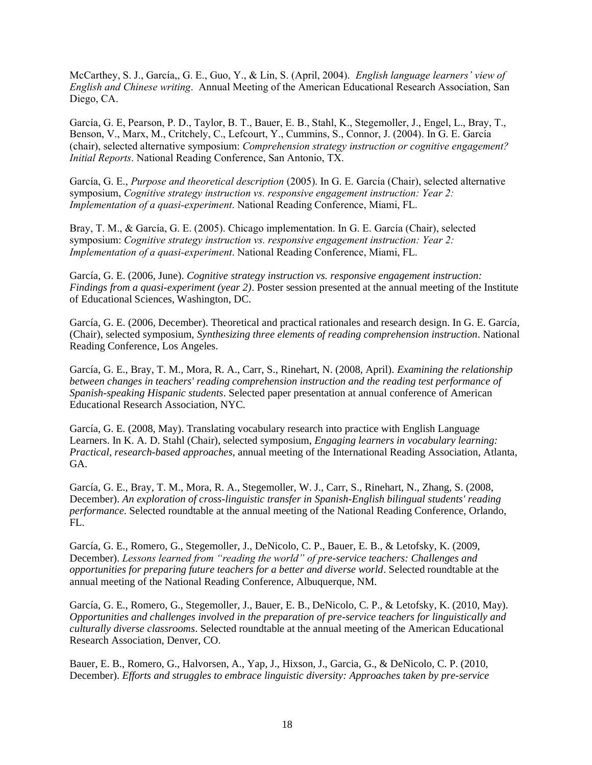McCarthey, S. J., García,, G. E., Guo, Y., & Lin, S. (April, 2004). *English language learners' view of English and Chinese writing*. Annual Meeting of the American Educational Research Association, San Diego, CA.

García, G. E, Pearson, P. D., Taylor, B. T., Bauer, E. B., Stahl, K., Stegemoller, J., Engel, L., Bray, T., Benson, V., Marx, M., Critchely, C., Lefcourt, Y., Cummins, S., Connor, J. (2004). In G. E. García (chair), selected alternative symposium: *Comprehension strategy instruction or cognitive engagement? Initial Reports*. National Reading Conference, San Antonio, TX.

García, G. E., *Purpose and theoretical description* (2005). In G. E. García (Chair), selected alternative symposium, *Cognitive strategy instruction vs. responsive engagement instruction: Year 2: Implementation of a quasi-experiment*. National Reading Conference, Miami, FL.

Bray, T. M., & García, G. E. (2005). Chicago implementation. In G. E. García (Chair), selected symposium: *Cognitive strategy instruction vs. responsive engagement instruction: Year 2: Implementation of a quasi-experiment*. National Reading Conference, Miami, FL.

García, G. E. (2006, June). *Cognitive strategy instruction vs. responsive engagement instruction: Findings from a quasi-experiment (year 2)*. Poster session presented at the annual meeting of the Institute of Educational Sciences, Washington, DC.

García, G. E. (2006, December). Theoretical and practical rationales and research design. In G. E. García, (Chair), selected symposium, *Synthesizing three elements of reading comprehension instruction*. National Reading Conference, Los Angeles.

García, G. E., Bray, T. M., Mora, R. A., Carr, S., Rinehart, N. (2008, April). *Examining the relationship between changes in teachers' reading comprehension instruction and the reading test performance of Spanish-speaking Hispanic students*. Selected paper presentation at annual conference of American Educational Research Association, NYC.

García, G. E. (2008, May). Translating vocabulary research into practice with English Language Learners. In K. A. D. Stahl (Chair), selected symposium, *Engaging learners in vocabulary learning: Practical, research-based approaches*, annual meeting of the International Reading Association, Atlanta, GA.

García, G. E., Bray, T. M., Mora, R. A., Stegemoller, W. J., Carr, S., Rinehart, N., Zhang, S. (2008, December). *An exploration of cross-linguistic transfer in Spanish-English bilingual students' reading performance.* Selected roundtable at the annual meeting of the National Reading Conference, Orlando, FL.

García, G. E., Romero, G., Stegemoller, J., DeNicolo, C. P., Bauer, E. B., & Letofsky, K. (2009, December). *Lessons learned from "reading the world" of pre-service teachers: Challenges and opportunities for preparing future teachers for a better and diverse world*. Selected roundtable at the annual meeting of the National Reading Conference, Albuquerque, NM.

García, G. E., Romero, G., Stegemoller, J., Bauer, E. B., DeNicolo, C. P., & Letofsky, K. (2010, May). *Opportunities and challenges involved in the preparation of pre-service teachers for linguistically and culturally diverse classrooms*. Selected roundtable at the annual meeting of the American Educational Research Association, Denver, CO.

Bauer, E. B., Romero, G., Halvorsen, A., Yap, J., Hixson, J., Garcia, G., & DeNicolo, C. P. (2010, December). *Efforts and struggles to embrace linguistic diversity: Approaches taken by pre-service*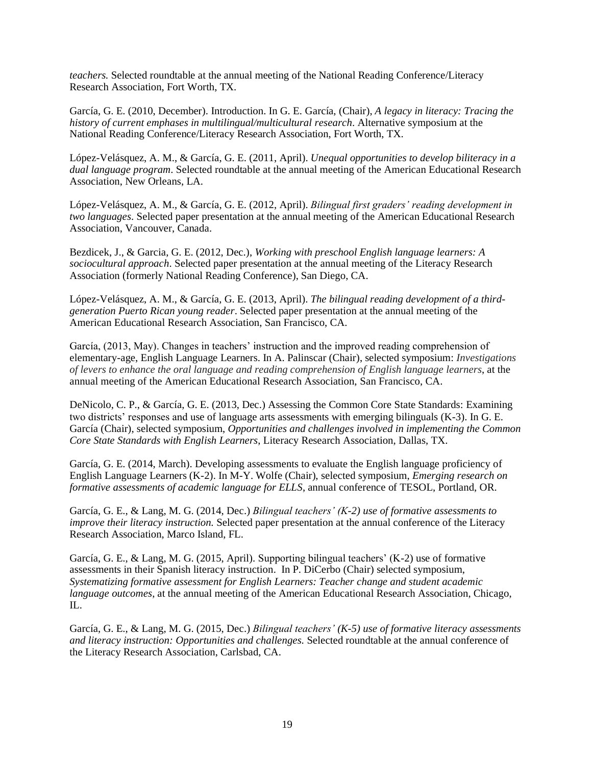*teachers.* Selected roundtable at the annual meeting of the National Reading Conference/Literacy Research Association, Fort Worth, TX.

García, G. E. (2010, December). Introduction. In G. E. García, (Chair), *A legacy in literacy: Tracing the history of current emphases in multilingual/multicultural research*. Alternative symposium at the National Reading Conference/Literacy Research Association, Fort Worth, TX.

López-Velásquez, A. M., & García, G. E. (2011, April). *Unequal opportunities to develop biliteracy in a dual language program*. Selected roundtable at the annual meeting of the American Educational Research Association, New Orleans, LA.

López-Velásquez, A. M., & García, G. E. (2012, April). *Bilingual first graders' reading development in two languages*. Selected paper presentation at the annual meeting of the American Educational Research Association, Vancouver, Canada.

Bezdicek, J., & Garcia, G. E. (2012, Dec.), *Working with preschool English language learners: A sociocultural approach*. Selected paper presentation at the annual meeting of the Literacy Research Association (formerly National Reading Conference), San Diego, CA.

López-Velásquez, A. M., & García, G. E. (2013, April). *The bilingual reading development of a thirdgeneration Puerto Rican young reader*. Selected paper presentation at the annual meeting of the American Educational Research Association, San Francisco, CA.

García, (2013, May). Changes in teachers' instruction and the improved reading comprehension of elementary-age, English Language Learners. In A. Palinscar (Chair), selected symposium: *Investigations of levers to enhance the oral language and reading comprehension of English language learners*, at the annual meeting of the American Educational Research Association, San Francisco, CA.

DeNicolo, C. P., & García, G. E. (2013, Dec.) Assessing the Common Core State Standards: Examining two districts' responses and use of language arts assessments with emerging bilinguals (K-3). In G. E. García (Chair), selected symposium, *Opportunities and challenges involved in implementing the Common Core State Standards with English Learners*, Literacy Research Association, Dallas, TX.

García, G. E. (2014, March). Developing assessments to evaluate the English language proficiency of English Language Learners (K-2). In M-Y. Wolfe (Chair), selected symposium, *Emerging research on formative assessments of academic language for ELLS*, annual conference of TESOL, Portland, OR.

García, G. E., & Lang, M. G. (2014, Dec.) *Bilingual teachers' (K-2) use of formative assessments to improve their literacy instruction.* Selected paper presentation at the annual conference of the Literacy Research Association, Marco Island, FL.

García, G. E., & Lang, M. G. (2015, April). Supporting bilingual teachers' (K-2) use of formative assessments in their Spanish literacy instruction. In P. DiCerbo (Chair) selected symposium, *Systematizing formative assessment for English Learners: Teacher change and student academic language outcomes*, at the annual meeting of the American Educational Research Association, Chicago, IL.

García, G. E., & Lang, M. G. (2015, Dec.) *Bilingual teachers' (K-5) use of formative literacy assessments and literacy instruction: Opportunities and challenges.* Selected roundtable at the annual conference of the Literacy Research Association, Carlsbad, CA.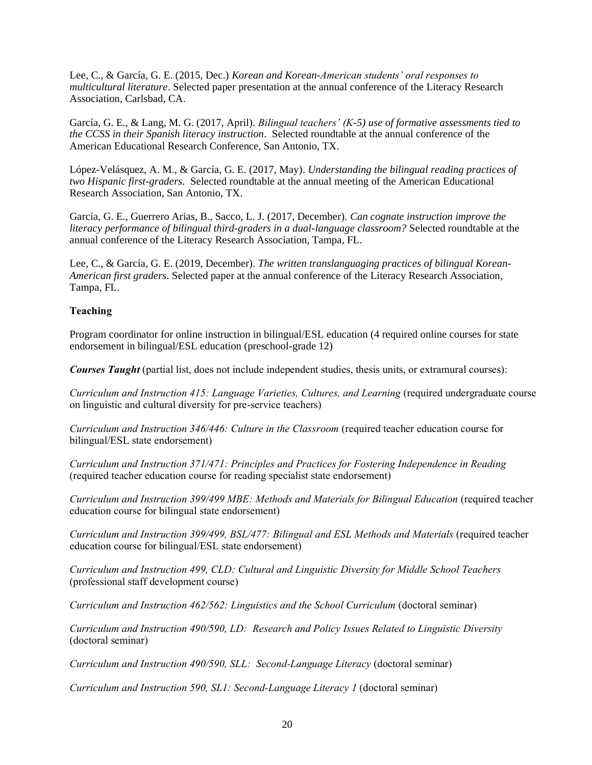Lee, C., & García, G. E. (2015, Dec.) *Korean and Korean-American students' oral responses to multicultural literature*. Selected paper presentation at the annual conference of the Literacy Research Association, Carlsbad, CA.

García, G. E., & Lang, M. G. (2017, April). *Bilingual teachers' (K-5) use of formative assessments tied to the CCSS in their Spanish literacy instruction*. Selected roundtable at the annual conference of the American Educational Research Conference, San Antonio, TX.

López-Velásquez, A. M., & García, G. E. (2017, May). *Understanding the bilingual reading practices of two Hispanic first-graders*. Selected roundtable at the annual meeting of the American Educational Research Association, San Antonio, TX.

García, G. E., Guerrero Arias, B., Sacco, L. J. (2017, December). *Can cognate instruction improve the literacy performance of bilingual third-graders in a dual-language classroom?* Selected roundtable at the annual conference of the Literacy Research Association, Tampa, FL.

Lee, C., & García, G. E. (2019, December). *The written translanguaging practices of bilingual Korean-American first graders*. Selected paper at the annual conference of the Literacy Research Association, Tampa, FL.

# **Teaching**

Program coordinator for online instruction in bilingual/ESL education (4 required online courses for state endorsement in bilingual/ESL education (preschool-grade 12)

*Courses Taught* (partial list, does not include independent studies, thesis units, or extramural courses):

*Curriculum and Instruction 415: Language Varieties, Cultures, and Learning* (required undergraduate course on linguistic and cultural diversity for pre-service teachers)

*Curriculum and Instruction 346/446: Culture in the Classroom* (required teacher education course for bilingual/ESL state endorsement)

*Curriculum and Instruction 371/471: Principles and Practices for Fostering Independence in Reading*  (required teacher education course for reading specialist state endorsement)

*Curriculum and Instruction 399/499 MBE: Methods and Materials for Bilingual Education* (required teacher education course for bilingual state endorsement)

*Curriculum and Instruction 399/499, BSL/477: Bilingual and ESL Methods and Materials* (required teacher education course for bilingual/ESL state endorsement)

*Curriculum and Instruction 499, CLD: Cultural and Linguistic Diversity for Middle School Teachers* (professional staff development course)

*Curriculum and Instruction 462/562: Linguistics and the School Curriculum* (doctoral seminar)

*Curriculum and Instruction 490/590, LD: Research and Policy Issues Related to Linguistic Diversity* (doctoral seminar)

*Curriculum and Instruction 490/590, SLL: Second-Language Literacy* (doctoral seminar)

*Curriculum and Instruction 590, SL1: Second-Language Literacy 1* (doctoral seminar)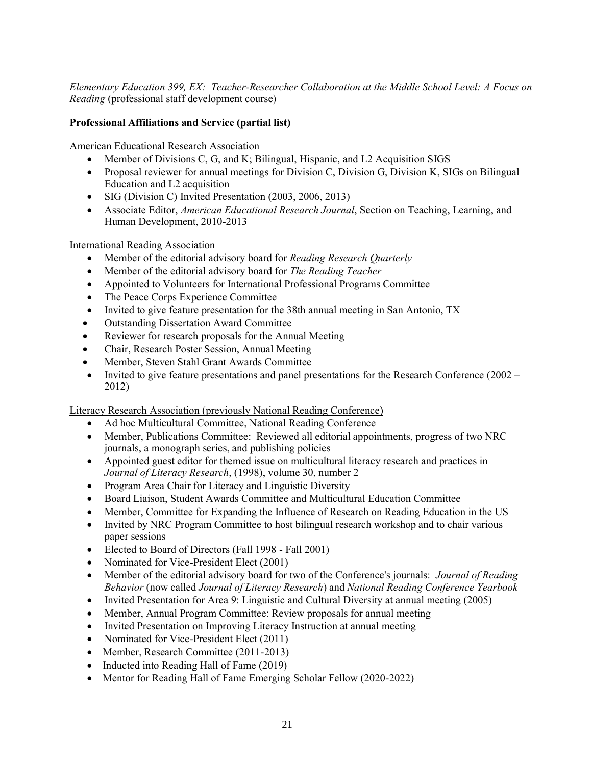*Elementary Education 399, EX: Teacher-Researcher Collaboration at the Middle School Level: A Focus on Reading* (professional staff development course)

# **Professional Affiliations and Service (partial list)**

American Educational Research Association

- Member of Divisions C, G, and K; Bilingual, Hispanic, and L2 Acquisition SIGS
- Proposal reviewer for annual meetings for Division C, Division G, Division K, SIGs on Bilingual Education and L2 acquisition
- SIG (Division C) Invited Presentation (2003, 2006, 2013)
- Associate Editor, *American Educational Research Journal*, Section on Teaching, Learning, and Human Development, 2010-2013

International Reading Association

- Member of the editorial advisory board for *Reading Research Quarterly*
- Member of the editorial advisory board for *The Reading Teacher*
- Appointed to Volunteers for International Professional Programs Committee
- The Peace Corps Experience Committee
- Invited to give feature presentation for the 38th annual meeting in San Antonio, TX
- Outstanding Dissertation Award Committee
- Reviewer for research proposals for the Annual Meeting
- Chair, Research Poster Session, Annual Meeting
- Member, Steven Stahl Grant Awards Committee
- Invited to give feature presentations and panel presentations for the Research Conference (2002 2012)

Literacy Research Association (previously National Reading Conference)

- Ad hoc Multicultural Committee, National Reading Conference
- Member, Publications Committee: Reviewed all editorial appointments, progress of two NRC journals, a monograph series, and publishing policies
- Appointed guest editor for themed issue on multicultural literacy research and practices in *Journal of Literacy Research*, (1998), volume 30, number 2
- Program Area Chair for Literacy and Linguistic Diversity
- Board Liaison, Student Awards Committee and Multicultural Education Committee
- Member, Committee for Expanding the Influence of Research on Reading Education in the US
- Invited by NRC Program Committee to host bilingual research workshop and to chair various paper sessions
- Elected to Board of Directors (Fall 1998 Fall 2001)
- Nominated for Vice-President Elect (2001)
- Member of the editorial advisory board for two of the Conference's journals: *Journal of Reading Behavior* (now called *Journal of Literacy Research*) and *National Reading Conference Yearbook*
- Invited Presentation for Area 9: Linguistic and Cultural Diversity at annual meeting (2005)
- Member, Annual Program Committee: Review proposals for annual meeting
- Invited Presentation on Improving Literacy Instruction at annual meeting
- Nominated for Vice-President Elect (2011)
- Member, Research Committee (2011-2013)
- Inducted into Reading Hall of Fame (2019)
- Mentor for Reading Hall of Fame Emerging Scholar Fellow (2020-2022)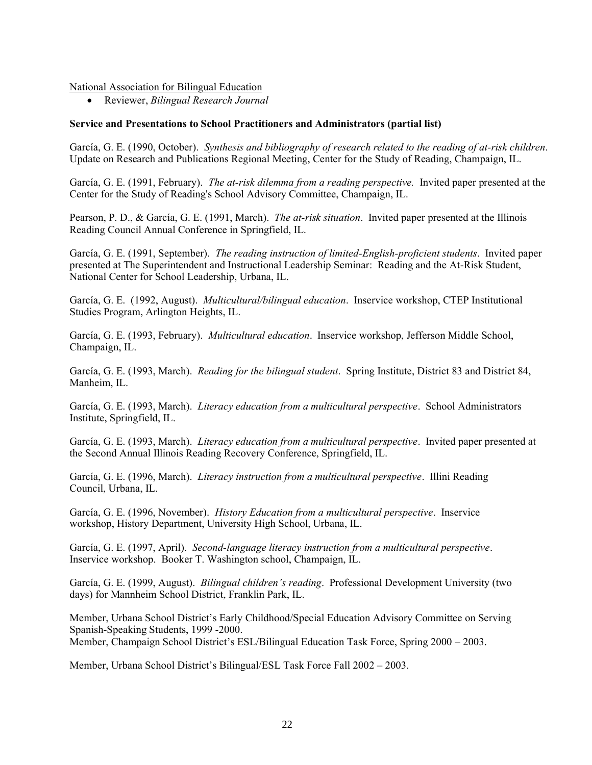National Association for Bilingual Education

• Reviewer, *Bilingual Research Journal*

# **Service and Presentations to School Practitioners and Administrators (partial list)**

García, G. E. (1990, October). *Synthesis and bibliography of research related to the reading of at-risk children*. Update on Research and Publications Regional Meeting, Center for the Study of Reading, Champaign, IL.

García, G. E. (1991, February). *The at-risk dilemma from a reading perspective.* Invited paper presented at the Center for the Study of Reading's School Advisory Committee, Champaign, IL.

Pearson, P. D., & García, G. E. (1991, March). *The at-risk situation*. Invited paper presented at the Illinois Reading Council Annual Conference in Springfield, IL.

García, G. E. (1991, September). *The reading instruction of limited-English-proficient students*. Invited paper presented at The Superintendent and Instructional Leadership Seminar: Reading and the At-Risk Student, National Center for School Leadership, Urbana, IL.

García, G. E. (1992, August). *Multicultural/bilingual education*. Inservice workshop, CTEP Institutional Studies Program, Arlington Heights, IL.

García, G. E. (1993, February). *Multicultural education*. Inservice workshop, Jefferson Middle School, Champaign, IL.

García, G. E. (1993, March). *Reading for the bilingual student*. Spring Institute, District 83 and District 84, Manheim, IL.

García, G. E. (1993, March). *Literacy education from a multicultural perspective*. School Administrators Institute, Springfield, IL.

García, G. E. (1993, March). *Literacy education from a multicultural perspective*. Invited paper presented at the Second Annual Illinois Reading Recovery Conference, Springfield, IL.

García, G. E. (1996, March). *Literacy instruction from a multicultural perspective*. Illini Reading Council, Urbana, IL.

García, G. E. (1996, November). *History Education from a multicultural perspective*. Inservice workshop, History Department, University High School, Urbana, IL.

García, G. E. (1997, April). *Second-language literacy instruction from a multicultural perspective*. Inservice workshop. Booker T. Washington school, Champaign, IL.

García, G. E. (1999, August). *Bilingual children's reading*. Professional Development University (two days) for Mannheim School District, Franklin Park, IL.

Member, Urbana School District's Early Childhood/Special Education Advisory Committee on Serving Spanish-Speaking Students, 1999 -2000. Member, Champaign School District's ESL/Bilingual Education Task Force, Spring 2000 – 2003.

Member, Urbana School District's Bilingual/ESL Task Force Fall 2002 – 2003.